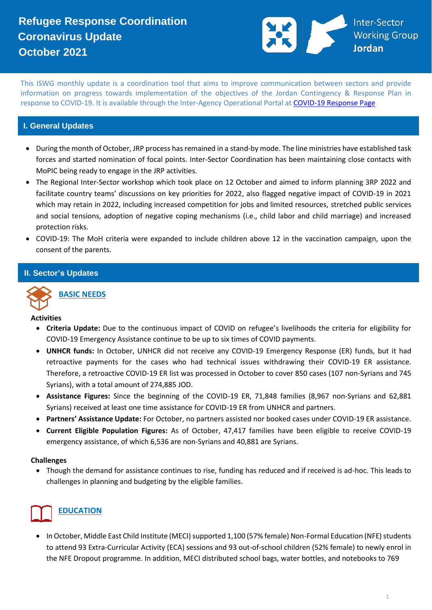

This ISWG monthly update is a coordination tool that aims to improve communication between sectors and provide information on progress towards implementation of the objectives of the Jordan Contingency & Response Plan in response to COVID-19. It is available through the Inter-Agency Operational Portal a[t COVID-19 Response Page](https://eur02.safelinks.protection.outlook.com/?url=https%3A%2F%2Fdata2.unhcr.org%2Fen%2Fworking-group%2F251%3Fsv%3D4%26geo%3D36&data=02%7C01%7Cbyunc%40unhcr.org%7C0621d0ad56f141cfe71708d7d3d2dc45%7Ce5c37981666441348a0c6543d2af80be%7C0%7C0%7C637210774895002030&sdata=aPEtg5vDIBj3A4AWkO5sOLo7pACA7Q8cjR8bwQyAa8c%3D&reserved=0)

#### **I. General Updates**

- During the month of October, JRP process has remained in a stand-by mode. The line ministries have established task forces and started nomination of focal points. Inter-Sector Coordination has been maintaining close contacts with MoPIC being ready to engage in the JRP activities.
- The Regional Inter-Sector workshop which took place on 12 October and aimed to inform planning 3RP 2022 and facilitate country teams' discussions on key priorities for 2022, also flagged negative impact of COVID-19 in 2021 which may retain in 2022, including increased competition for jobs and limited resources, stretched public services and social tensions, adoption of negative coping mechanisms (i.e., child labor and child marriage) and increased protection risks.
- COVID-19: The MoH criteria were expanded to include children above 12 in the vaccination campaign, upon the consent of the parents.

#### **II. Sector's Updates**



#### **BASIC NEEDS**

**Activities** 

- **Criteria Update:** Due to the continuous impact of COVID on refugee's livelihoods the criteria for eligibility for COVID-19 Emergency Assistance continue to be up to six times of COVID payments.
- **UNHCR funds:** In October, UNHCR did not receive any COVID-19 Emergency Response (ER) funds, but it had retroactive payments for the cases who had technical issues withdrawing their COVID-19 ER assistance. Therefore, a retroactive COVID-19 ER list was processed in October to cover 850 cases (107 non-Syrians and 745 Syrians), with a total amount of 274,885 JOD.
- **Assistance Figures:** Since the beginning of the COVID-19 ER, 71,848 families (8,967 non-Syrians and 62,881 Syrians) received at least one time assistance for COVID-19 ER from UNHCR and partners.
- **Partners' Assistance Update:** For October, no partners assisted nor booked cases under COVID-19 ER assistance.
- **Current Eligible Population Figures:** As of October, 47,417 families have been eligible to receive COVID-19 emergency assistance, of which 6,536 are non-Syrians and 40,881 are Syrians.

#### **Challenges**

• Though the demand for assistance continues to rise, funding has reduced and if received is ad-hoc. This leads to challenges in planning and budgeting by the eligible families.

### **EDUCATION**

• In October, Middle East Child Institute (MECI) supported 1,100 (57% female) Non-Formal Education (NFE) students to attend 93 Extra-Curricular Activity (ECA) sessions and 93 out-of-school children (52% female) to newly enrol in the NFE Dropout programme. In addition, MECI distributed school bags, water bottles, and notebooks to 769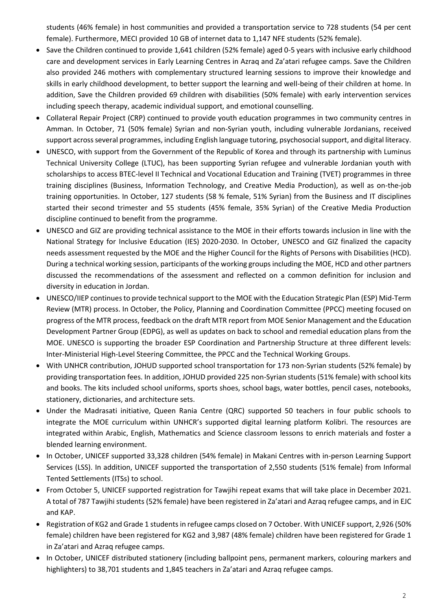students (46% female) in host communities and provided a transportation service to 728 students (54 per cent female). Furthermore, MECI provided 10 GB of internet data to 1,147 NFE students (52% female).

- Save the Children continued to provide 1,641 children (52% female) aged 0-5 years with inclusive early childhood care and development services in Early Learning Centres in Azraq and Za'atari refugee camps. Save the Children also provided 246 mothers with complementary structured learning sessions to improve their knowledge and skills in early childhood development, to better support the learning and well-being of their children at home. In addition, Save the Children provided 69 children with disabilities (50% female) with early intervention services including speech therapy, academic individual support, and emotional counselling.
- Collateral Repair Project (CRP) continued to provide youth education programmes in two community centres in Amman. In October, 71 (50% female) Syrian and non-Syrian youth, including vulnerable Jordanians, received support across several programmes, including English language tutoring, psychosocial support, and digital literacy.
- UNESCO, with support from the Government of the Republic of Korea and through its partnership with Luminus Technical University College (LTUC), has been supporting Syrian refugee and vulnerable Jordanian youth with scholarships to access BTEC-level II Technical and Vocational Education and Training (TVET) programmes in three training disciplines (Business, Information Technology, and Creative Media Production), as well as on-the-job training opportunities. In October, 127 students (58 % female, 51% Syrian) from the Business and IT disciplines started their second trimester and 55 students (45% female, 35% Syrian) of the Creative Media Production discipline continued to benefit from the programme.
- UNESCO and GIZ are providing technical assistance to the MOE in their efforts towards inclusion in line with the National Strategy for Inclusive Education (IES) 2020-2030. In October, UNESCO and GIZ finalized the capacity needs assessment requested by the MOE and the Higher Council for the Rights of Persons with Disabilities (HCD). During a technical working session, participants of the working groups including the MOE, HCD and other partners discussed the recommendations of the assessment and reflected on a common definition for inclusion and diversity in education in Jordan.
- UNESCO/IIEP continues to provide technical support to the MOE with the Education Strategic Plan (ESP) Mid-Term Review (MTR) process. In October, the Policy, Planning and Coordination Committee (PPCC) meeting focused on progress of the MTR process, feedback on the draft MTR report from MOE Senior Management and the Education Development Partner Group (EDPG), as well as updates on back to school and remedial education plans from the MOE. UNESCO is supporting the broader ESP Coordination and Partnership Structure at three different levels: Inter-Ministerial High-Level Steering Committee, the PPCC and the Technical Working Groups.
- With UNHCR contribution, JOHUD supported school transportation for 173 non-Syrian students (52% female) by providing transportation fees. In addition, JOHUD provided 225 non-Syrian students (51% female) with school kits and books. The kits included school uniforms, sports shoes, school bags, water bottles, pencil cases, notebooks, stationery, dictionaries, and architecture sets.
- Under the Madrasati initiative, Queen Rania Centre (QRC) supported 50 teachers in four public schools to integrate the MOE curriculum within UNHCR's supported digital learning platform Kolibri. The resources are integrated within Arabic, English, Mathematics and Science classroom lessons to enrich materials and foster a blended learning environment.
- In October, UNICEF supported 33,328 children (54% female) in Makani Centres with in-person Learning Support Services (LSS). In addition, UNICEF supported the transportation of 2,550 students (51% female) from Informal Tented Settlements (ITSs) to school.
- From October 5, UNICEF supported registration for Tawjihi repeat exams that will take place in December 2021. A total of 787 Tawjihi students (52% female) have been registered in Za'atari and Azraq refugee camps, and in EJC and KAP.
- Registration of KG2 and Grade 1 students in refugee camps closed on 7 October. With UNICEF support, 2,926 (50% female) children have been registered for KG2 and 3,987 (48% female) children have been registered for Grade 1 in Za'atari and Azraq refugee camps.
- In October, UNICEF distributed stationery (including ballpoint pens, permanent markers, colouring markers and highlighters) to 38,701 students and 1,845 teachers in Za'atari and Azraq refugee camps.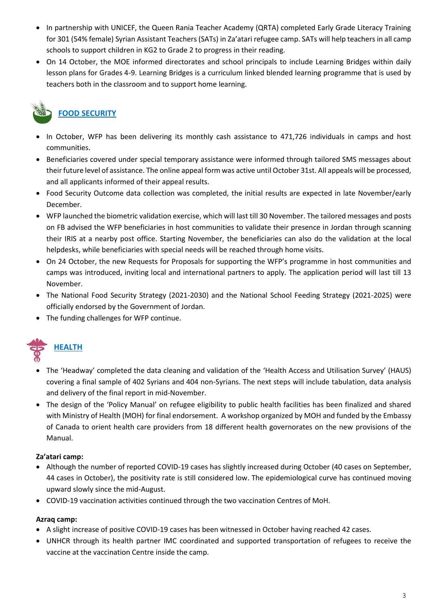- In partnership with UNICEF, the Queen Rania Teacher Academy (QRTA) completed Early Grade Literacy Training for 301 (54% female) Syrian Assistant Teachers (SATs) in Za'atari refugee camp. SATs will help teachers in all camp schools to support children in KG2 to Grade 2 to progress in their reading.
- On 14 October, the MOE informed directorates and school principals to include Learning Bridges within daily lesson plans for Grades 4-9. Learning Bridges is a curriculum linked blended learning programme that is used by teachers both in the classroom and to support home learning.

### **FOOD SECURITY**

- In October, WFP has been delivering its monthly cash assistance to 471,726 individuals in camps and host communities.
- Beneficiaries covered under special temporary assistance were informed through tailored SMS messages about their future level of assistance. The online appeal form was active until October 31st. All appeals will be processed, and all applicants informed of their appeal results.
- Food Security Outcome data collection was completed, the initial results are expected in late November/early December.
- WFP launched the biometric validation exercise, which will last till 30 November. The tailored messages and posts on FB advised the WFP beneficiaries in host communities to validate their presence in Jordan through scanning their IRIS at a nearby post office. Starting November, the beneficiaries can also do the validation at the local helpdesks, while beneficiaries with special needs will be reached through home visits.
- On 24 October, the new Requests for Proposals for supporting the WFP's programme in host communities and camps was introduced, inviting local and international partners to apply. The application period will last till 13 November.
- The National Food Security Strategy (2021-2030) and the National School Feeding Strategy (2021-2025) were officially endorsed by the Government of Jordan.
- The funding challenges for WFP continue.



- The 'Headway' completed the data cleaning and validation of the 'Health Access and Utilisation Survey' (HAUS) covering a final sample of 402 Syrians and 404 non-Syrians. The next steps will include tabulation, data analysis and delivery of the final report in mid-November.
- The design of the 'Policy Manual' on refugee eligibility to public health facilities has been finalized and shared with Ministry of Health (MOH) for final endorsement. A workshop organized by MOH and funded by the Embassy of Canada to orient health care providers from 18 different health governorates on the new provisions of the Manual.

#### **Za'atari camp:**

- Although the number of reported COVID-19 cases has slightly increased during October (40 cases on September, 44 cases in October), the positivity rate is still considered low. The epidemiological curve has continued moving upward slowly since the mid-August.
- COVID-19 vaccination activities continued through the two vaccination Centres of MoH.

#### **Azraq camp:**

- A slight increase of positive COVID-19 cases has been witnessed in October having reached 42 cases.
- UNHCR through its health partner IMC coordinated and supported transportation of refugees to receive the vaccine at the vaccination Centre inside the camp.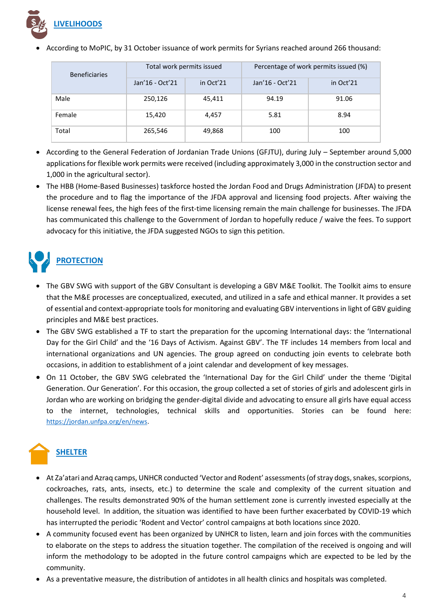

• According to MoPIC, by 31 October issuance of work permits for Syrians reached around 266 thousand:

| <b>Beneficiaries</b> | Total work permits issued |           | Percentage of work permits issued (%) |           |
|----------------------|---------------------------|-----------|---------------------------------------|-----------|
|                      | Jan'16 - Oct'21           | in Oct'21 | Jan'16 - Oct'21                       | in Oct'21 |
| Male                 | 250,126                   | 45,411    | 94.19                                 | 91.06     |
| Female               | 15,420                    | 4,457     | 5.81                                  | 8.94      |
| Total                | 265,546                   | 49,868    | 100                                   | 100       |

- According to the General Federation of Jordanian Trade Unions (GFJTU), during July September around 5,000 applications for flexible work permits were received (including approximately 3,000 in the construction sector and 1,000 in the agricultural sector).
- The HBB (Home-Based Businesses) taskforce hosted the Jordan Food and Drugs Administration (JFDA) to present the procedure and to flag the importance of the JFDA approval and licensing food projects. After waiving the license renewal fees, the high fees of the first-time licensing remain the main challenge for businesses. The JFDA has communicated this challenge to the Government of Jordan to hopefully reduce / waive the fees. To support advocacy for this initiative, the JFDA suggested NGOs to sign this petition.

# **PROTECTION**

- The GBV SWG with support of the GBV Consultant is developing a GBV M&E Toolkit. The Toolkit aims to ensure that the M&E processes are conceptualized, executed, and utilized in a safe and ethical manner. It provides a set of essential and context-appropriate tools for monitoring and evaluating GBV interventions in light of GBV guiding principles and M&E best practices.
- The GBV SWG established a TF to start the preparation for the upcoming International days: the 'International Day for the Girl Child' and the '16 Days of Activism. Against GBV'. The TF includes 14 members from local and international organizations and UN agencies. The group agreed on conducting join events to celebrate both occasions, in addition to establishment of a joint calendar and development of key messages.
- On 11 October, the GBV SWG celebrated the 'International Day for the Girl Child' under the theme 'Digital Generation. Our Generation'. For this occasion, the group collected a set of stories of girls and adolescent girls in Jordan who are working on bridging the gender-digital divide and advocating to ensure all girls have equal access to the internet, technologies, technical skills and opportunities. Stories can be found here: [https://jordan.unfpa.org/en/news.](https://eur02.safelinks.protection.outlook.com/?url=https%3A%2F%2Fjordan.unfpa.org%2Fen%2Fnews&data=04%7C01%7Cguseva%40unhcr.org%7C02cea8d8bdb04191c79908d9db4f04be%7Ce5c37981666441348a0c6543d2af80be%7C0%7C0%7C637781954683842164%7CUnknown%7CTWFpbGZsb3d8eyJWIjoiMC4wLjAwMDAiLCJQIjoiV2luMzIiLCJBTiI6Ik1haWwiLCJXVCI6Mn0%3D%7C3000&sdata=yMp3AQrY811XdP7rT%2Fthcv066yOfDN1nToeQtvtZR8E%3D&reserved=0)

## **SHELTER**

- At Za'atari and Azraq camps, UNHCR conducted 'Vector and Rodent' assessments (of stray dogs, snakes, scorpions, cockroaches, rats, ants, insects, etc.) to determine the scale and complexity of the current situation and challenges. The results demonstrated 90% of the human settlement zone is currently invested especially at the household level. In addition, the situation was identified to have been further exacerbated by COVID-19 which has interrupted the periodic 'Rodent and Vector' control campaigns at both locations since 2020.
- A community focused event has been organized by UNHCR to listen, learn and join forces with the communities to elaborate on the steps to address the situation together. The compilation of the received is ongoing and will inform the methodology to be adopted in the future control campaigns which are expected to be led by the community.
- As a preventative measure, the distribution of antidotes in all health clinics and hospitals was completed.